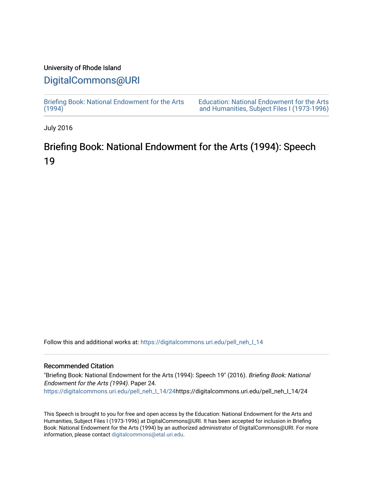### University of Rhode Island

## [DigitalCommons@URI](https://digitalcommons.uri.edu/)

[Briefing Book: National Endowment for the Arts](https://digitalcommons.uri.edu/pell_neh_I_14)  $(1994)$ 

[Education: National Endowment for the Arts](https://digitalcommons.uri.edu/pell_neh_I)  [and Humanities, Subject Files I \(1973-1996\)](https://digitalcommons.uri.edu/pell_neh_I) 

July 2016

# Briefing Book: National Endowment for the Arts (1994): Speech 19

Follow this and additional works at: [https://digitalcommons.uri.edu/pell\\_neh\\_I\\_14](https://digitalcommons.uri.edu/pell_neh_I_14?utm_source=digitalcommons.uri.edu%2Fpell_neh_I_14%2F24&utm_medium=PDF&utm_campaign=PDFCoverPages) 

#### Recommended Citation

"Briefing Book: National Endowment for the Arts (1994): Speech 19" (2016). Briefing Book: National Endowment for the Arts (1994). Paper 24. [https://digitalcommons.uri.edu/pell\\_neh\\_I\\_14/24h](https://digitalcommons.uri.edu/pell_neh_I_14/24?utm_source=digitalcommons.uri.edu%2Fpell_neh_I_14%2F24&utm_medium=PDF&utm_campaign=PDFCoverPages)ttps://digitalcommons.uri.edu/pell\_neh\_I\_14/24

This Speech is brought to you for free and open access by the Education: National Endowment for the Arts and Humanities, Subject Files I (1973-1996) at DigitalCommons@URI. It has been accepted for inclusion in Briefing Book: National Endowment for the Arts (1994) by an authorized administrator of DigitalCommons@URI. For more information, please contact [digitalcommons@etal.uri.edu.](mailto:digitalcommons@etal.uri.edu)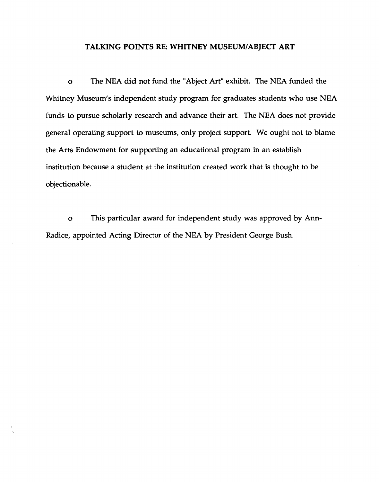#### TALKING POINTS RE: WHITNEY MUSEUM/ABJECT ART

o The NEA did not fund the "Abject Art" exhibit. The NEA funded the Whitney Museum's independent study program for graduates students who use NEA funds to pursue scholarly research and advance their art. The NEA does not provide general operating support to museums, only project support. We ought not to blame the Arts Endowment for supporting an educational program in an establish institution because a student at the institution created work that is thought to be objectionable.

o This particular award for independent study was approved by Ann-Radice, appointed Acting Director of the NEA by President George Bush.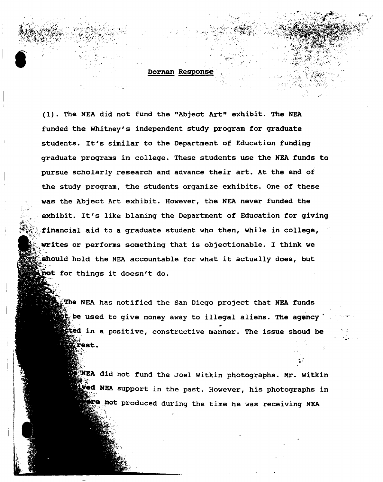#### Dornan Response

 $\mathcal{L}^{\text{max}}_{\text{max}}$ 

: $\alpha$ 

 $\bullet$ 

~:

(1). The NEA did not fund the "Abject Art" exhibit. The NEA funded the Whitney's independent study program for graduate students. It's similar to the Department of Education funding graduate programs in college. These students use the NEA funds to pursue scholarly research and advance their art. At the end of the study program, the students organize exhibits. One of these was the Abject Art exhibit. However, the NEA never funded the exhibit. It's like blaming the Department of Education for giving  $A$  .  $A$ financial aid to a graduate student who then, while in college,  $\sim$ Writes or performs something that is objectionable. I think we  $\gamma$  ,  $\gamma$ should hold the NEA accountable for what it actually does, but not for things it doesn't do.

> The NEA has notified the San Diego project that NEA funds  $\mathbf{t}_i$  be used to give money away to illegal aliens. The agency  $\mathbf{t}_i$  $\epsilon$  in a positive, constructive manner. The issue shoud be *Xrest.*

 $N$ EA did not fund the Joel Witkin photographs. Mr. Witkin **Wed NEA** support in the past. However, his photographs in Fre not produced during the time he was receiving NEA

". •'

.....